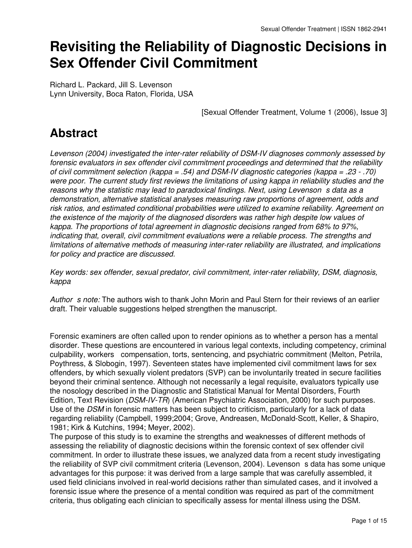# **Revisiting the Reliability of Diagnostic Decisions in Sex Offender Civil Commitment**

Richard L. Packard, Jill S. Levenson Lynn University, Boca Raton, Florida, USA

[Sexual Offender Treatment, Volume 1 (2006), Issue 3]

## **Abstract**

*Levenson (2004) investigated the inter-rater reliability of DSM-IV diagnoses commonly assessed by forensic evaluators in sex offender civil commitment proceedings and determined that the reliability of civil commitment selection (kappa = .54) and DSM-IV diagnostic categories (kappa = .23 - .70) were poor. The current study first reviews the limitations of using kappa in reliability studies and the* reasons why the statistic may lead to paradoxical findings. Next, using Levenson s data as a *demonstration, alternative statistical analyses measuring raw proportions of agreement, odds and risk ratios, and estimated conditional probabilities were utilized to examine reliability. Agreement on the existence of the majority of the diagnosed disorders was rather high despite low values of kappa. The proportions of total agreement in diagnostic decisions ranged from 68% to 97%, indicating that, overall, civil commitment evaluations were a reliable process. The strengths and limitations of alternative methods of measuring inter-rater reliability are illustrated, and implications for policy and practice are discussed.*

*Key words: sex offender, sexual predator, civil commitment, inter-rater reliability, DSM, diagnosis, kappa*

*Author s note:* The authors wish to thank John Morin and Paul Stern for their reviews of an earlier draft. Their valuable suggestions helped strengthen the manuscript.

Forensic examiners are often called upon to render opinions as to whether a person has a mental disorder. These questions are encountered in various legal contexts, including competency, criminal culpability, workers compensation, torts, sentencing, and psychiatric commitment (Melton, Petrila, Poythress, & Slobogin, 1997). Seventeen states have implemented civil commitment laws for sex offenders, by which sexually violent predators (SVP) can be involuntarily treated in secure facilities beyond their criminal sentence. Although not necessarily a legal requisite, evaluators typically use the nosology described in the Diagnostic and Statistical Manual for Mental Disorders, Fourth Edition, Text Revision (*DSM-IV-TR*) (American Psychiatric Association, 2000) for such purposes. Use of the *DSM* in forensic matters has been subject to criticism, particularly for a lack of data regarding reliability (Campbell, 1999;2004; Grove, Andreasen, McDonald-Scott, Keller, & Shapiro, 1981; Kirk & Kutchins, 1994; Meyer, 2002).

The purpose of this study is to examine the strengths and weaknesses of different methods of assessing the reliability of diagnostic decisions within the forensic context of sex offender civil commitment. In order to illustrate these issues, we analyzed data from a recent study investigating the reliability of SVP civil commitment criteria (Levenson, 2004). Levenson s data has some unique advantages for this purpose: it was derived from a large sample that was carefully assembled, it used field clinicians involved in real-world decisions rather than simulated cases, and it involved a forensic issue where the presence of a mental condition was required as part of the commitment criteria, thus obligating each clinician to specifically assess for mental illness using the DSM.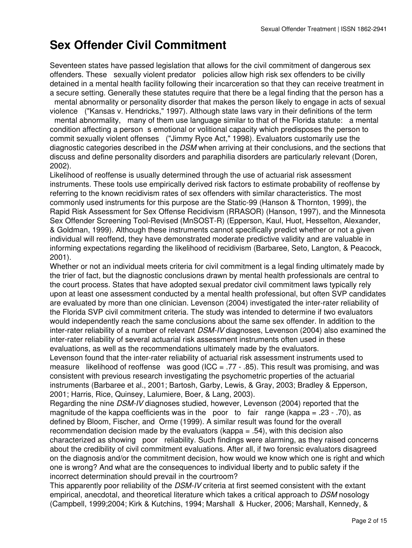## **Sex Offender Civil Commitment**

Seventeen states have passed legislation that allows for the civil commitment of dangerous sex offenders. These sexually violent predator policies allow high risk sex offenders to be civilly detained in a mental health facility following their incarceration so that they can receive treatment in a secure setting. Generally these statutes require that there be a legal finding that the person has a mental abnormality or personality disorder that makes the person likely to engage in acts of sexual violence ("Kansas v. Hendricks," 1997). Although state laws vary in their definitions of the term mental abnormality, many of them use language similar to that of the Florida statute: a mental condition affecting a person s emotional or volitional capacity which predisposes the person to commit sexually violent offenses ("Jimmy Ryce Act," 1998). Evaluators customarily use the diagnostic categories described in the *DSM* when arriving at their conclusions, and the sections that discuss and define personality disorders and paraphilia disorders are particularly relevant (Doren, 2002).

Likelihood of reoffense is usually determined through the use of actuarial risk assessment instruments. These tools use empirically derived risk factors to estimate probability of reoffense by referring to the known recidivism rates of sex offenders with similar characteristics. The most commonly used instruments for this purpose are the Static-99 (Hanson & Thornton, 1999), the Rapid Risk Assessment for Sex Offense Recidivism (RRASOR) (Hanson, 1997), and the Minnesota Sex Offender Screening Tool-Revised (MnSOST-R) (Epperson, Kaul, Huot, Hesselton, Alexander, & Goldman, 1999). Although these instruments cannot specifically predict whether or not a given individual will reoffend, they have demonstrated moderate predictive validity and are valuable in informing expectations regarding the likelihood of recidivism (Barbaree, Seto, Langton, & Peacock, 2001).

Whether or not an individual meets criteria for civil commitment is a legal finding ultimately made by the trier of fact, but the diagnostic conclusions drawn by mental health professionals are central to the court process. States that have adopted sexual predator civil commitment laws typically rely upon at least one assessment conducted by a mental health professional, but often SVP candidates are evaluated by more than one clinician. Levenson (2004) investigated the inter-rater reliability of the Florida SVP civil commitment criteria. The study was intended to determine if two evaluators would independently reach the same conclusions about the same sex offender. In addition to the inter-rater reliability of a number of relevant *DSM-IV* diagnoses, Levenson (2004) also examined the inter-rater reliability of several actuarial risk assessment instruments often used in these evaluations, as well as the recommendations ultimately made by the evaluators.

Levenson found that the inter-rater reliability of actuarial risk assessment instruments used to measure likelihood of reoffense was good (ICC = .77 - .85). This result was promising, and was consistent with previous research investigating the psychometric properties of the actuarial instruments (Barbaree et al., 2001; Bartosh, Garby, Lewis, & Gray, 2003; Bradley & Epperson, 2001; Harris, Rice, Quinsey, Lalumiere, Boer, & Lang, 2003).

Regarding the nine *DSM-IV* diagnoses studied, however, Levenson (2004) reported that the magnitude of the kappa coefficients was in the poor to fair range (kappa = .23 - .70), as defined by Bloom, Fischer, and Orme (1999). A similar result was found for the overall recommendation decision made by the evaluators (kappa = .54), with this decision also characterized as showing poor reliability. Such findings were alarming, as they raised concerns about the credibility of civil commitment evaluations. After all, if two forensic evaluators disagreed on the diagnosis and/or the commitment decision, how would we know which one is right and which one is wrong? And what are the consequences to individual liberty and to public safety if the incorrect determination should prevail in the courtroom?

This apparently poor reliability of the *DSM-IV* criteria at first seemed consistent with the extant empirical, anecdotal, and theoretical literature which takes a critical approach to *DSM* nosology (Campbell, 1999;2004; Kirk & Kutchins, 1994; Marshall & Hucker, 2006; Marshall, Kennedy, &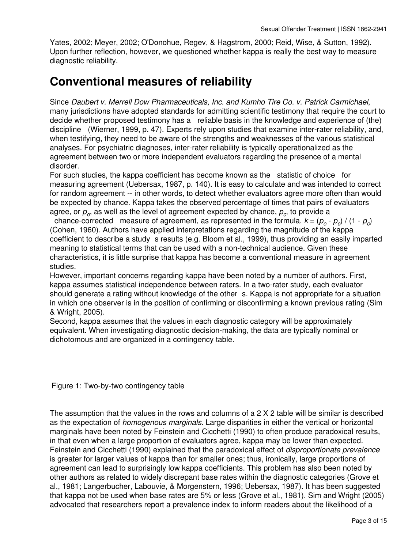Yates, 2002; Meyer, 2002; O'Donohue, Regev, & Hagstrom, 2000; Reid, Wise, & Sutton, 1992). Upon further reflection, however, we questioned whether kappa is really the best way to measure diagnostic reliability.

### **Conventional measures of reliability**

Since *Daubert v. Merrell Dow Pharmaceuticals, Inc. and Kumho Tire Co. v. Patrick Carmichael*, many jurisdictions have adopted standards for admitting scientific testimony that require the court to decide whether proposed testimony has a reliable basis in the knowledge and experience of (the) discipline (Wierner, 1999, p. 47). Experts rely upon studies that examine inter-rater reliability, and, when testifying, they need to be aware of the strengths and weaknesses of the various statistical analyses. For psychiatric diagnoses, inter-rater reliability is typically operationalized as the agreement between two or more independent evaluators regarding the presence of a mental disorder.

For such studies, the kappa coefficient has become known as the statistic of choice for measuring agreement (Uebersax, 1987, p. 140). It is easy to calculate and was intended to correct for random agreement -- in other words, to detect whether evaluators agree more often than would be expected by chance. Kappa takes the observed percentage of times that pairs of evaluators agree, or  $p_o$ , as well as the level of agreement expected by chance,  $p_c$ , to provide a

chance-corrected measure of agreement, as represented in the formula,  $k = (p_o - p_c) / (1 - p_c)$ (Cohen, 1960). Authors have applied interpretations regarding the magnitude of the kappa coefficient to describe a study s results (e.g. Bloom et al., 1999), thus providing an easily imparted meaning to statistical terms that can be used with a non-technical audience. Given these characteristics, it is little surprise that kappa has become a conventional measure in agreement studies.

However, important concerns regarding kappa have been noted by a number of authors. First, kappa assumes statistical independence between raters. In a two-rater study, each evaluator should generate a rating without knowledge of the other s. Kappa is not appropriate for a situation in which one observer is in the position of confirming or disconfirming a known previous rating (Sim & Wright, 2005).

Second, kappa assumes that the values in each diagnostic category will be approximately equivalent. When investigating diagnostic decision-making, the data are typically nominal or dichotomous and are organized in a contingency table.

Figure 1: Two-by-two contingency table

The assumption that the values in the rows and columns of a 2 X 2 table will be similar is described as the expectation of *homogenous marginals*. Large disparities in either the vertical or horizontal marginals have been noted by Feinstein and Cicchetti (1990) to often produce paradoxical results, in that even when a large proportion of evaluators agree, kappa may be lower than expected. Feinstein and Cicchetti (1990) explained that the paradoxical effect of *disproportionate prevalence* is greater for larger values of kappa than for smaller ones; thus, ironically, large proportions of agreement can lead to surprisingly low kappa coefficients. This problem has also been noted by other authors as related to widely discrepant base rates within the diagnostic categories (Grove et al., 1981; Langerbucher, Labouvie, & Morgenstern, 1996; Uebersax, 1987). It has been suggested that kappa not be used when base rates are 5% or less (Grove et al., 1981). Sim and Wright (2005) advocated that researchers report a prevalence index to inform readers about the likelihood of a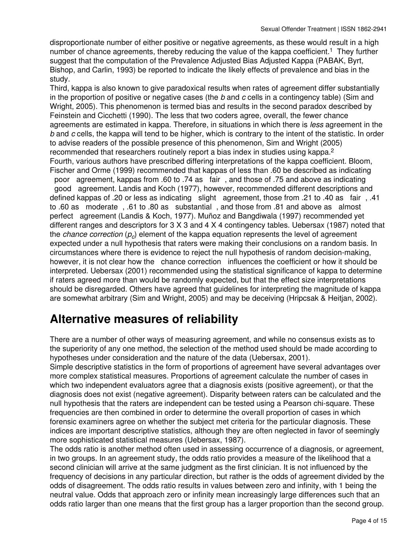disproportionate number of either positive or negative agreements, as these would result in a high number of chance agreements, thereby reducing the value of the kappa coefficient.<sup>1</sup> They further suggest that the computation of the Prevalence Adjusted Bias Adjusted Kappa (PABAK, Byrt, Bishop, and Carlin, 1993) be reported to indicate the likely effects of prevalence and bias in the study.

Third, kappa is also known to give paradoxical results when rates of agreement differ substantially in the proportion of positive or negative cases (the *b* and *c* cells in a contingency table) (Sim and Wright, 2005). This phenomenon is termed bias and results in the second paradox described by Feinstein and Cicchetti (1990). The less that two coders agree, overall, the fewer chance agreements are estimated in kappa. Therefore, in situations in which there is *less* agreement in the *b* and *c* cells, the kappa will tend to be higher, which is contrary to the intent of the statistic. In order to advise readers of the possible presence of this phenomenon, Sim and Wright (2005) recommended that researchers routinely report a bias index in studies using kappa.<sup>2</sup> Fourth, various authors have prescribed differing interpretations of the kappa coefficient. Bloom, Fischer and Orme (1999) recommended that kappas of less than .60 be described as indicating poor agreement, kappas from .60 to .74 as fair, and those of .75 and above as indicating good agreement. Landis and Koch (1977), however, recommended different descriptions and defined kappas of .20 or less as indicating slight agreement, those from .21 to .40 as fair, .41 to .60 as moderate, .61 to .80 as substantial, and those from .81 and above as almost perfect agreement (Landis & Koch, 1977). Muñoz and Bangdiwala (1997) recommended yet different ranges and descriptors for 3 X 3 and 4 X 4 contingency tables. Uebersax (1987) noted that the *chance correction* ( $p_c$ ) element of the kappa equation represents the level of agreement expected under a null hypothesis that raters were making their conclusions on a random basis. In circumstances where there is evidence to reject the null hypothesis of random decision-making, however, it is not clear how the chance correction influences the coefficient or how it should be interpreted. Uebersax (2001) recommended using the statistical significance of kappa to determine if raters agreed more than would be randomly expected, but that the effect size interpretations should be disregarded. Others have agreed that guidelines for interpreting the magnitude of kappa are somewhat arbitrary (Sim and Wright, 2005) and may be deceiving (Hripcsak & Heitjan, 2002).

### **Alternative measures of reliability**

There are a number of other ways of measuring agreement, and while no consensus exists as to the superiority of any one method, the selection of the method used should be made according to hypotheses under consideration and the nature of the data (Uebersax, 2001).

Simple descriptive statistics in the form of proportions of agreement have several advantages over more complex statistical measures. Proportions of agreement calculate the number of cases in which two independent evaluators agree that a diagnosis exists (positive agreement), or that the diagnosis does not exist (negative agreement). Disparity between raters can be calculated and the null hypothesis that the raters are independent can be tested using a Pearson chi-square. These frequencies are then combined in order to determine the overall proportion of cases in which forensic examiners agree on whether the subject met criteria for the particular diagnosis. These indices are important descriptive statistics, although they are often neglected in favor of seemingly more sophisticated statistical measures (Uebersax, 1987).

The odds ratio is another method often used in assessing occurrence of a diagnosis, or agreement, in two groups. In an agreement study, the odds ratio provides a measure of the likelihood that a second clinician will arrive at the same judgment as the first clinician. It is not influenced by the frequency of decisions in any particular direction, but rather is the odds of agreement divided by the odds of disagreement. The odds ratio results in values between zero and infinity, with 1 being the neutral value. Odds that approach zero or infinity mean increasingly large differences such that an odds ratio larger than one means that the first group has a larger proportion than the second group.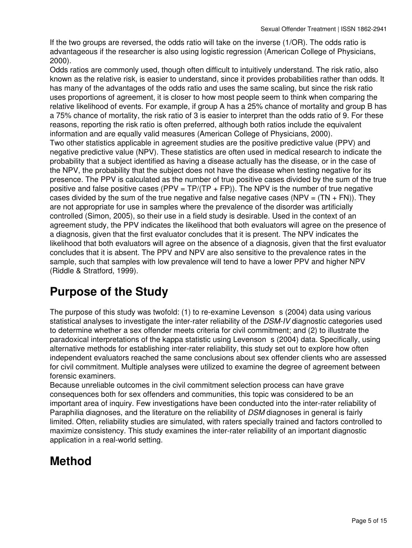If the two groups are reversed, the odds ratio will take on the inverse (1/OR). The odds ratio is advantageous if the researcher is also using logistic regression (American College of Physicians, 2000).

Odds ratios are commonly used, though often difficult to intuitively understand. The risk ratio, also known as the relative risk, is easier to understand, since it provides probabilities rather than odds. It has many of the advantages of the odds ratio and uses the same scaling, but since the risk ratio uses proportions of agreement, it is closer to how most people seem to think when comparing the relative likelihood of events. For example, if group A has a 25% chance of mortality and group B has a 75% chance of mortality, the risk ratio of 3 is easier to interpret than the odds ratio of 9. For these reasons, reporting the risk ratio is often preferred, although both ratios include the equivalent information and are equally valid measures (American College of Physicians, 2000). Two other statistics applicable in agreement studies are the positive predictive value (PPV) and negative predictive value (NPV). These statistics are often used in medical research to indicate the probability that a subject identified as having a disease actually has the disease, or in the case of the NPV, the probability that the subject does not have the disease when testing negative for its presence. The PPV is calculated as the number of true positive cases divided by the sum of the true positive and false positive cases (PPV =  $TP/(TP + FP)$ ). The NPV is the number of true negative cases divided by the sum of the true negative and false negative cases (NPV =  $(TN + FN)$ ). They are not appropriate for use in samples where the prevalence of the disorder was artificially controlled (Simon, 2005), so their use in a field study is desirable. Used in the context of an agreement study, the PPV indicates the likelihood that both evaluators will agree on the presence of a diagnosis, given that the first evaluator concludes that it is present. The NPV indicates the likelihood that both evaluators will agree on the absence of a diagnosis, given that the first evaluator concludes that it is absent. The PPV and NPV are also sensitive to the prevalence rates in the sample, such that samples with low prevalence will tend to have a lower PPV and higher NPV (Riddle & Stratford, 1999).

### **Purpose of the Study**

The purpose of this study was twofold: (1) to re-examine Levenson s (2004) data using various statistical analyses to investigate the inter-rater reliability of the *DSM-IV* diagnostic categories used to determine whether a sex offender meets criteria for civil commitment; and (2) to illustrate the paradoxical interpretations of the kappa statistic using Levenson s (2004) data. Specifically, using alternative methods for establishing inter-rater reliability, this study set out to explore how often independent evaluators reached the same conclusions about sex offender clients who are assessed for civil commitment. Multiple analyses were utilized to examine the degree of agreement between forensic examiners.

Because unreliable outcomes in the civil commitment selection process can have grave consequences both for sex offenders and communities, this topic was considered to be an important area of inquiry. Few investigations have been conducted into the inter-rater reliability of Paraphilia diagnoses, and the literature on the reliability of *DSM* diagnoses in general is fairly limited. Often, reliability studies are simulated, with raters specially trained and factors controlled to maximize consistency. This study examines the inter-rater reliability of an important diagnostic application in a real-world setting.

## **Method**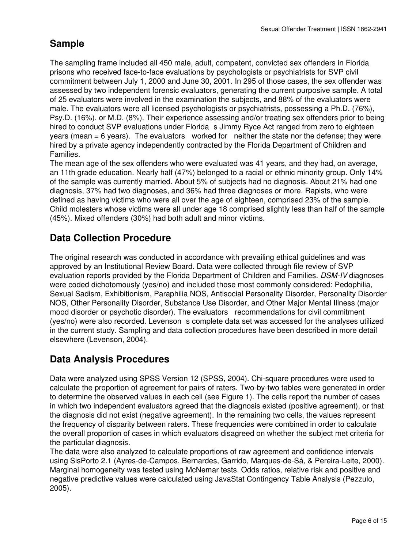#### **Sample**

The sampling frame included all 450 male, adult, competent, convicted sex offenders in Florida prisons who received face-to-face evaluations by psychologists or psychiatrists for SVP civil commitment between July 1, 2000 and June 30, 2001. In 295 of those cases, the sex offender was assessed by two independent forensic evaluators, generating the current purposive sample. A total of 25 evaluators were involved in the examination the subjects, and 88% of the evaluators were male. The evaluators were all licensed psychologists or psychiatrists, possessing a Ph.D. (76%), Psy.D. (16%), or M.D. (8%). Their experience assessing and/or treating sex offenders prior to being hired to conduct SVP evaluations under Florida s Jimmy Ryce Act ranged from zero to eighteen years (mean = 6 years). The evaluators worked for neither the state nor the defense; they were hired by a private agency independently contracted by the Florida Department of Children and Families.

The mean age of the sex offenders who were evaluated was 41 years, and they had, on average, an 11th grade education. Nearly half (47%) belonged to a racial or ethnic minority group. Only 14% of the sample was currently married. About 5% of subjects had no diagnosis. About 21% had one diagnosis, 37% had two diagnoses, and 36% had three diagnoses or more. Rapists, who were defined as having victims who were all over the age of eighteen, comprised 23% of the sample. Child molesters whose victims were all under age 18 comprised slightly less than half of the sample (45%). Mixed offenders (30%) had both adult and minor victims.

#### **Data Collection Procedure**

The original research was conducted in accordance with prevailing ethical guidelines and was approved by an Institutional Review Board. Data were collected through file review of SVP evaluation reports provided by the Florida Department of Children and Families. *DSM-IV* diagnoses were coded dichotomously (yes/no) and included those most commonly considered: Pedophilia, Sexual Sadism, Exhibitionism, Paraphilia NOS, Antisocial Personality Disorder, Personality Disorder NOS, Other Personality Disorder, Substance Use Disorder, and Other Major Mental Illness (major mood disorder or psychotic disorder). The evaluators recommendations for civil commitment (yes/no) were also recorded. Levenson s complete data set was accessed for the analyses utilized in the current study. Sampling and data collection procedures have been described in more detail elsewhere (Levenson, 2004).

#### **Data Analysis Procedures**

Data were analyzed using SPSS Version 12 (SPSS, 2004). Chi-square procedures were used to calculate the proportion of agreement for pairs of raters. Two-by-two tables were generated in order to determine the observed values in each cell (see Figure 1). The cells report the number of cases in which two independent evaluators agreed that the diagnosis existed (positive agreement), or that the diagnosis did not exist (negative agreement). In the remaining two cells, the values represent the frequency of disparity between raters. These frequencies were combined in order to calculate the overall proportion of cases in which evaluators disagreed on whether the subject met criteria for the particular diagnosis.

The data were also analyzed to calculate proportions of raw agreement and confidence intervals using SisPorto 2.1 (Ayres-de-Campos, Bernardes, Garrido, Marques-de-Sá, & Pereira-Leite, 2000). Marginal homogeneity was tested using McNemar tests. Odds ratios, relative risk and positive and negative predictive values were calculated using JavaStat Contingency Table Analysis (Pezzulo, 2005).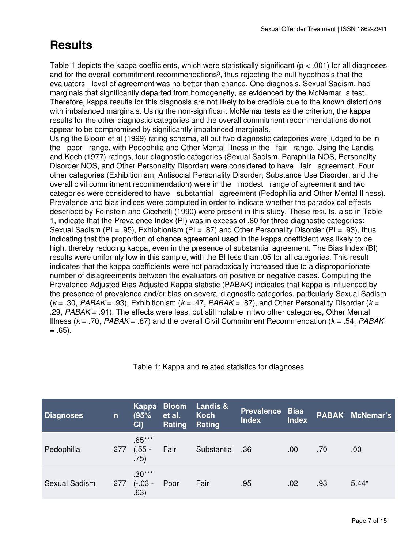## **Results**

Table 1 depicts the kappa coefficients, which were statistically significant ( $p < .001$ ) for all diagnoses and for the overall commitment recommendations3, thus rejecting the null hypothesis that the evaluators level of agreement was no better than chance. One diagnosis, Sexual Sadism, had marginals that significantly departed from homogeneity, as evidenced by the McNemar s test. Therefore, kappa results for this diagnosis are not likely to be credible due to the known distortions with imbalanced marginals. Using the non-significant McNemar tests as the criterion, the kappa results for the other diagnostic categories and the overall commitment recommendations do not appear to be compromised by significantly imbalanced marginals.

Using the Bloom et al (1999) rating schema, all but two diagnostic categories were judged to be in the poor range, with Pedophilia and Other Mental Illness in the fair range. Using the Landis and Koch (1977) ratings, four diagnostic categories (Sexual Sadism, Paraphilia NOS, Personality Disorder NOS, and Other Personality Disorder) were considered to have fair agreement. Four other categories (Exhibitionism, Antisocial Personality Disorder, Substance Use Disorder, and the overall civil commitment recommendation) were in the modest range of agreement and two categories were considered to have substantial agreement (Pedophilia and Other Mental Illness). Prevalence and bias indices were computed in order to indicate whether the paradoxical effects described by Feinstein and Cicchetti (1990) were present in this study. These results, also in Table 1, indicate that the Prevalence Index (PI) was in excess of .80 for three diagnostic categories: Sexual Sadism (PI = .95), Exhibitionism (PI = .87) and Other Personality Disorder (PI = .93), thus indicating that the proportion of chance agreement used in the kappa coefficient was likely to be high, thereby reducing kappa, even in the presence of substantial agreement. The Bias Index (BI) results were uniformly low in this sample, with the BI less than .05 for all categories. This result indicates that the kappa coefficients were not paradoxically increased due to a disproportionate number of disagreements between the evaluators on positive or negative cases. Computing the Prevalence Adjusted Bias Adjusted Kappa statistic (PABAK) indicates that kappa is influenced by the presence of prevalence and/or bias on several diagnostic categories, particularly Sexual Sadism (*k* = .30, *PABAK* = .93), Exhibitionism (*k* = .47, *PABAK* = .87), and Other Personality Disorder (*k* = .29, *PABAK* = .91). The effects were less, but still notable in two other categories, Other Mental Illness (*k* = .70, *PABAK* = .87) and the overall Civil Commitment Recommendation (*k* = .54, *PABAK*  $= .65$ ).

| <b>Diagnoses</b>     | $\mathsf{n}$ | Kappa<br>(95%<br>CI          | <b>Bloom</b><br>et al.<br>Rating | <b>Landis &amp;</b><br>Koch<br>Rating | <b>Prevalence Bias</b><br><b>Index</b> | <b>Index</b> |     | <b>PABAK McNemar's</b> |
|----------------------|--------------|------------------------------|----------------------------------|---------------------------------------|----------------------------------------|--------------|-----|------------------------|
| Pedophilia           | 277          | $.65***$<br>$(.55 -$<br>.75) | Fair                             | Substantial                           | .36                                    | .00          | .70 | .00                    |
| <b>Sexual Sadism</b> | 277          | $.30***$<br>$(-03 -$<br>.63) | Poor                             | Fair                                  | .95                                    | .02          | .93 | $5.44*$                |

Table 1: Kappa and related statistics for diagnoses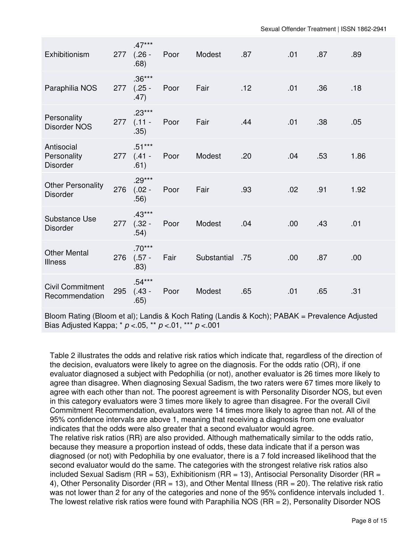| Exhibitionism                                | 277 | $.47***$<br>$(.26 -$<br>.68)     | Poor | Modest      | .87 | .01 | .87 | .89  |
|----------------------------------------------|-----|----------------------------------|------|-------------|-----|-----|-----|------|
| Paraphilia NOS                               |     | $.36***$<br>277 (.25 -<br>.47)   | Poor | Fair        | .12 | .01 | .36 | .18  |
| Personality<br><b>Disorder NOS</b>           | 277 | $.23***$<br>$(.11 -$<br>.35)     | Poor | Fair        | .44 | .01 | .38 | .05  |
| Antisocial<br>Personality<br><b>Disorder</b> |     | $.51***$<br>$277$ (.41 -<br>.61) | Poor | Modest      | .20 | .04 | .53 | 1.86 |
| <b>Other Personality</b><br><b>Disorder</b>  | 276 | $.29***$<br>$(.02 -$<br>.56)     | Poor | Fair        | .93 | .02 | .91 | 1.92 |
| Substance Use<br><b>Disorder</b>             | 277 | $.43***$<br>$(.32 -$<br>.54)     | Poor | Modest      | .04 | .00 | .43 | .01  |
| <b>Other Mental</b><br><b>Illness</b>        | 276 | $.70***$<br>$(.57 -$<br>.83)     | Fair | Substantial | .75 | .00 | .87 | .00  |
| <b>Civil Commitment</b><br>Recommendation    | 295 | $.54***$<br>$(.43 -$<br>.65)     | Poor | Modest      | .65 | .01 | .65 | .31  |
|                                              |     |                                  |      |             |     |     |     |      |

Bloom Rating (Bloom et al); Landis & Koch Rating (Landis & Koch); PABAK = Prevalence Adjusted Bias Adjusted Kappa; \* *p* <.05, \*\* *p* <.01, \*\*\* *p* <.001

Table 2 illustrates the odds and relative risk ratios which indicate that, regardless of the direction of the decision, evaluators were likely to agree on the diagnosis. For the odds ratio (OR), if one evaluator diagnosed a subject with Pedophilia (or not), another evaluator is 26 times more likely to agree than disagree. When diagnosing Sexual Sadism, the two raters were 67 times more likely to agree with each other than not. The poorest agreement is with Personality Disorder NOS, but even in this category evaluators were 3 times more likely to agree than disagree. For the overall Civil Commitment Recommendation, evaluators were 14 times more likely to agree than not. All of the 95% confidence intervals are above 1, meaning that receiving a diagnosis from one evaluator indicates that the odds were also greater that a second evaluator would agree.

The relative risk ratios (RR) are also provided. Although mathematically similar to the odds ratio, because they measure a proportion instead of odds, these data indicate that if a person was diagnosed (or not) with Pedophilia by one evaluator, there is a 7 fold increased likelihood that the second evaluator would do the same. The categories with the strongest relative risk ratios also included Sexual Sadism ( $RR = 53$ ), Exhibitionism ( $RR = 13$ ), Antisocial Personality Disorder ( $RR =$ 4), Other Personality Disorder (RR = 13), and Other Mental Illness (RR = 20). The relative risk ratio was not lower than 2 for any of the categories and none of the 95% confidence intervals included 1. The lowest relative risk ratios were found with Paraphilia NOS (RR = 2), Personality Disorder NOS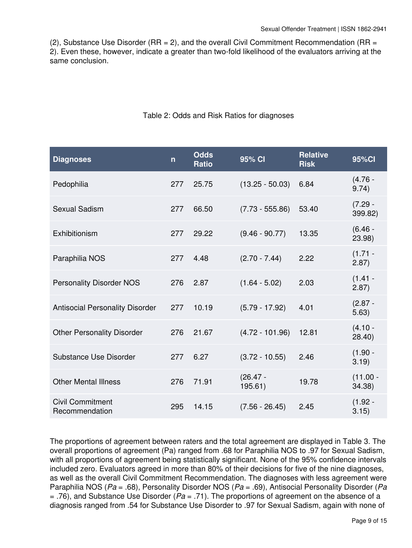(2), Substance Use Disorder ( $RR = 2$ ), and the overall Civil Commitment Recommendation ( $RR =$ 2). Even these, however, indicate a greater than two-fold likelihood of the evaluators arriving at the same conclusion.

| <b>Diagnoses</b>                          | $\mathsf{n}$ | <b>Odds</b><br><b>Ratio</b> | 95% CI                | <b>Relative</b><br><b>Risk</b> | 95%Cl                 |
|-------------------------------------------|--------------|-----------------------------|-----------------------|--------------------------------|-----------------------|
| Pedophilia                                | 277          | 25.75                       | $(13.25 - 50.03)$     | 6.84                           | $(4.76 -$<br>9.74)    |
| Sexual Sadism                             | 277          | 66.50                       | $(7.73 - 555.86)$     | 53.40                          | $(7.29 -$<br>399.82)  |
| Exhibitionism                             | 277          | 29.22                       | $(9.46 - 90.77)$      | 13.35                          | $(6.46 -$<br>23.98)   |
| Paraphilia NOS                            | 277          | 4.48                        | $(2.70 - 7.44)$       | 2.22                           | $(1.71 -$<br>$2.87$ ) |
| <b>Personality Disorder NOS</b>           | 276          | 2.87                        | $(1.64 - 5.02)$       | 2.03                           | $(1.41 -$<br>2.87)    |
| <b>Antisocial Personality Disorder</b>    | 277          | 10.19                       | $(5.79 - 17.92)$      | 4.01                           | $(2.87 -$<br>5.63)    |
| <b>Other Personality Disorder</b>         | 276          | 21.67                       | $(4.72 - 101.96)$     | 12.81                          | $(4.10 -$<br>28.40    |
| Substance Use Disorder                    | 277          | 6.27                        | $(3.72 - 10.55)$      | 2.46                           | $(1.90 -$<br>3.19)    |
| <b>Other Mental Illness</b>               | 276          | 71.91                       | $(26.47 -$<br>195.61) | 19.78                          | $(11.00 -$<br>34.38)  |
| <b>Civil Commitment</b><br>Recommendation | 295          | 14.15                       | $(7.56 - 26.45)$      | 2.45                           | $(1.92 -$<br>3.15)    |

Table 2: Odds and Risk Ratios for diagnoses

The proportions of agreement between raters and the total agreement are displayed in Table 3. The overall proportions of agreement (Pa) ranged from .68 for Paraphilia NOS to .97 for Sexual Sadism, with all proportions of agreement being statistically significant. None of the 95% confidence intervals included zero. Evaluators agreed in more than 80% of their decisions for five of the nine diagnoses, as well as the overall Civil Commitment Recommendation. The diagnoses with less agreement were Paraphilia NOS (*Pa* = .68), Personality Disorder NOS (*Pa* = .69), Antisocial Personality Disorder (*Pa* = .76), and Substance Use Disorder (*Pa* = .71). The proportions of agreement on the absence of a diagnosis ranged from .54 for Substance Use Disorder to .97 for Sexual Sadism, again with none of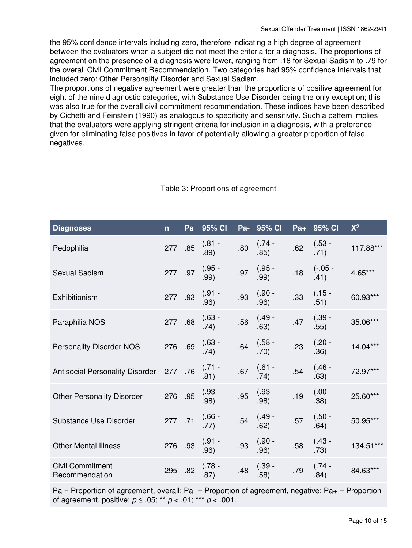the 95% confidence intervals including zero, therefore indicating a high degree of agreement between the evaluators when a subject did not meet the criteria for a diagnosis. The proportions of agreement on the presence of a diagnosis were lower, ranging from .18 for Sexual Sadism to .79 for the overall Civil Commitment Recommendation. Two categories had 95% confidence intervals that included zero: Other Personality Disorder and Sexual Sadism.

The proportions of negative agreement were greater than the proportions of positive agreement for eight of the nine diagnostic categories, with Substance Use Disorder being the only exception; this was also true for the overall civil commitment recommendation. These indices have been described by Cichetti and Feinstein (1990) as analogous to specificity and sensitivity. Such a pattern implies that the evaluators were applying stringent criteria for inclusion in a diagnosis, with a preference given for eliminating false positives in favor of potentially allowing a greater proportion of false negatives.

| <b>Diagnoses</b>                          | $\mathsf{n}$ | Pa  | 95% CI           |     | Pa- 95% CI       |     | Pa+ 95% CI        | $X^2$      |
|-------------------------------------------|--------------|-----|------------------|-----|------------------|-----|-------------------|------------|
| Pedophilia                                | 277 .85      |     | $(.81 -$<br>.89) | .80 | $(.74 -$<br>.85) | .62 | $(.53 -$<br>.71)  | 117.88***  |
| <b>Sexual Sadism</b>                      | 277 .97      |     | $(.95 -$<br>.99) | .97 | $(.95 -$<br>.99) | .18 | $(-.05 -$<br>.41) | 4.65***    |
| Exhibitionism                             | 277 .93      |     | $(.91 -$<br>.96) | .93 | $(.90 -$<br>.96) | .33 | $(.15 -$<br>.51)  | 60.93***   |
| Paraphilia NOS                            | 277 .68      |     | $(.63 -$<br>.74) | .56 | $(.49 -$<br>.63) | .47 | $(.39 -$<br>.55)  | 35.06***   |
| <b>Personality Disorder NOS</b>           | 276 .69      |     | $(.63 -$<br>.74) | .64 | $(.58 -$<br>.70) | .23 | $(.20 -$<br>.36)  | $14.04***$ |
| <b>Antisocial Personality Disorder</b>    | 277 .76      |     | $(.71 -$<br>.81) | .67 | $(.61 -$<br>.74) | .54 | $(.46 -$<br>.63)  | 72.97***   |
| <b>Other Personality Disorder</b>         | 276 .95      |     | $(.93 -$<br>.98) | .95 | $(.93 -$<br>.98) | .19 | $(.00 -$<br>.38)  | 25.60***   |
| Substance Use Disorder                    | 277 .71      |     | $(.66 -$<br>.77) | .54 | $(.49 -$<br>.62) | .57 | $(.50 -$<br>.64)  | 50.95***   |
| <b>Other Mental Illness</b>               | 276 .93      |     | $(.91 -$<br>.96) | .93 | $(.90 -$<br>.96) | .58 | $(.43 -$<br>.73)  | 134.51***  |
| <b>Civil Commitment</b><br>Recommendation | 295          | .82 | $(.78 -$<br>.87) | .48 | $(.39 -$<br>.58) | .79 | $(.74 -$<br>.84)  | 84.63***   |
|                                           |              |     |                  |     |                  |     |                   |            |

#### Table 3: Proportions of agreement

 $Pa = Proportion$  of agreement, overall;  $Pa = Proportion$  of agreement, negative;  $Pa + = Proportion$ of agreement, positive; *p* ≤ .05; \*\* *p* < .01; \*\*\* *p* < .001.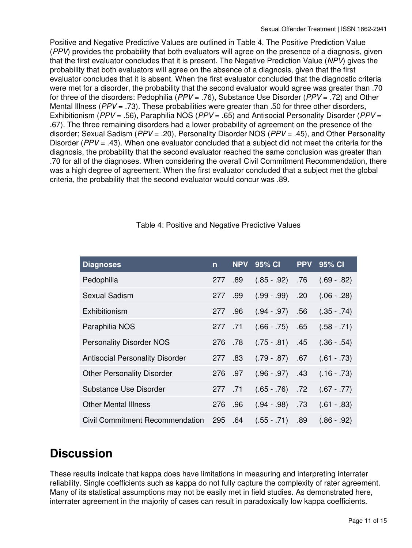Positive and Negative Predictive Values are outlined in Table 4. The Positive Prediction Value (*PPV*) provides the probability that both evaluators will agree on the presence of a diagnosis, given that the first evaluator concludes that it is present. The Negative Prediction Value (*NPV*) gives the probability that both evaluators will agree on the absence of a diagnosis, given that the first evaluator concludes that it is absent. When the first evaluator concluded that the diagnostic criteria were met for a disorder, the probability that the second evaluator would agree was greater than .70 for three of the disorders: Pedophilia (*PPV* = .76), Substance Use Disorder (*PPV* = .72) and Other Mental Illness (*PPV* = .73). These probabilities were greater than .50 for three other disorders, Exhibitionism (*PPV* = .56), Paraphilia NOS (*PPV* = .65) and Antisocial Personality Disorder (*PPV* = .67). The three remaining disorders had a lower probability of agreement on the presence of the disorder; Sexual Sadism (*PPV* = .20), Personality Disorder NOS (*PPV* = .45), and Other Personality Disorder (*PPV* = .43). When one evaluator concluded that a subject did not meet the criteria for the diagnosis, the probability that the second evaluator reached the same conclusion was greater than .70 for all of the diagnoses. When considering the overall Civil Commitment Recommendation, there was a high degree of agreement. When the first evaluator concluded that a subject met the global criteria, the probability that the second evaluator would concur was .89.

| <b>Diagnoses</b>                       | $\mathsf{n}$   | <b>NPV</b> | 95% CI          | <b>PPV</b> | 95% CI        |
|----------------------------------------|----------------|------------|-----------------|------------|---------------|
| Pedophilia                             | 277 .89        |            | $(.85-.92)$     | .76        | $(.69 - .82)$ |
| Sexual Sadism                          | 277            | .99        | $(.99 - .99)$   | .20        | $(.06 - .28)$ |
| Exhibitionism                          | 277            | .96        | $(.94 - .97)$   | .56        | $(.35 - .74)$ |
| Paraphilia NOS                         | .71. 277       |            | $(.66 - .75)$   | .65        | $(.58 - .71)$ |
| <b>Personality Disorder NOS</b>        | 276            | .78        | $(.75-.81)$     | .45        | $(.36-.54)$   |
| <b>Antisocial Personality Disorder</b> | 83. 277        |            | $(.79-.87)$     | .67        | $(.61 - .73)$ |
| <b>Other Personality Disorder</b>      | 276 .97        |            | $(.96-.97)$     | .43        | $(.16-.73)$   |
| Substance Use Disorder                 | 277 .71        |            | $(.65-.76)$ .72 |            | $(.67 - .77)$ |
| <b>Other Mental Illness</b>            | 276            | .96        | $(.94-.98)$     | .73        | $(.61 - .83)$ |
| <b>Civil Commitment Recommendation</b> | <b>295 .64</b> |            | $(.55 - .71)$   | .89        | $(.86-.92)$   |

#### Table 4: Positive and Negative Predictive Values

### **Discussion**

These results indicate that kappa does have limitations in measuring and interpreting interrater reliability. Single coefficients such as kappa do not fully capture the complexity of rater agreement. Many of its statistical assumptions may not be easily met in field studies. As demonstrated here, interrater agreement in the majority of cases can result in paradoxically low kappa coefficients.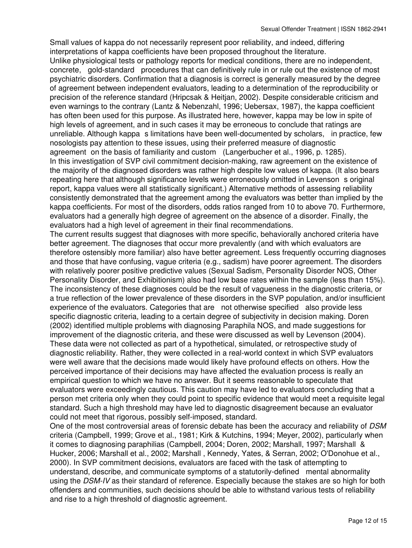Small values of kappa do not necessarily represent poor reliability, and indeed, differing interpretations of kappa coefficients have been proposed throughout the literature. Unlike physiological tests or pathology reports for medical conditions, there are no independent, concrete, gold-standard procedures that can definitively rule in or rule out the existence of most psychiatric disorders. Confirmation that a diagnosis is correct is generally measured by the degree of agreement between independent evaluators, leading to a determination of the reproducibility or precision of the reference standard (Hripcsak & Heitjan, 2002). Despite considerable criticism and even warnings to the contrary (Lantz & Nebenzahl, 1996; Uebersax, 1987), the kappa coefficient has often been used for this purpose. As illustrated here, however, kappa may be low in spite of high levels of agreement, and in such cases it may be erroneous to conclude that ratings are unreliable. Although kappa s limitations have been well-documented by scholars, in practice, few nosologists pay attention to these issues, using their preferred measure of diagnostic agreement on the basis of familiarity and custom (Langerbucher et al., 1996, p. 1285). In this investigation of SVP civil commitment decision-making, raw agreement on the existence of the majority of the diagnosed disorders was rather high despite low values of kappa. (It also bears repeating here that although significance levels were erroneously omitted in Levenson s original report, kappa values were all statistically significant.) Alternative methods of assessing reliability consistently demonstrated that the agreement among the evaluators was better than implied by the kappa coefficients. For most of the disorders, odds ratios ranged from 10 to above 70. Furthermore, evaluators had a generally high degree of agreement on the absence of a disorder. Finally, the evaluators had a high level of agreement in their final recommendations. The current results suggest that diagnoses with more specific, behaviorally anchored criteria have better agreement. The diagnoses that occur more prevalently (and with which evaluators are therefore ostensibly more familiar) also have better agreement. Less frequently occurring diagnoses and those that have confusing, vague criteria (e.g., sadism) have poorer agreement. The disorders with relatively poorer positive predictive values (Sexual Sadism, Personality Disorder NOS, Other Personality Disorder, and Exhibitionism) also had low base rates within the sample (less than 15%). The inconsistency of these diagnoses could be the result of vagueness in the diagnostic criteria, or a true reflection of the lower prevalence of these disorders in the SVP population, and/or insufficient experience of the evaluators. Categories that are not otherwise specified also provide less specific diagnostic criteria, leading to a certain degree of subjectivity in decision making. Doren (2002) identified multiple problems with diagnosing Paraphila NOS, and made suggestions for improvement of the diagnostic criteria, and these were discussed as well by Levenson (2004).

These data were not collected as part of a hypothetical, simulated, or retrospective study of diagnostic reliability. Rather, they were collected in a real-world context in which SVP evaluators were well aware that the decisions made would likely have profound effects on others. How the perceived importance of their decisions may have affected the evaluation process is really an empirical question to which we have no answer. But it seems reasonable to speculate that evaluators were exceedingly cautious. This caution may have led to evaluators concluding that a person met criteria only when they could point to specific evidence that would meet a requisite legal standard. Such a high threshold may have led to diagnostic disagreement because an evaluator could not meet that rigorous, possibly self-imposed, standard.

One of the most controversial areas of forensic debate has been the accuracy and reliability of *DSM* criteria (Campbell, 1999; Grove et al., 1981; Kirk & Kutchins, 1994; Meyer, 2002), particularly when it comes to diagnosing paraphilias (Campbell, 2004; Doren, 2002; Marshall, 1997; Marshall & Hucker, 2006; Marshall et al., 2002; Marshall , Kennedy, Yates, & Serran, 2002; O'Donohue et al., 2000). In SVP commitment decisions, evaluators are faced with the task of attempting to understand, describe, and communicate symptoms of a statutorily-defined mental abnormality using the *DSM-IV* as their standard of reference. Especially because the stakes are so high for both offenders and communities, such decisions should be able to withstand various tests of reliability and rise to a high threshold of diagnostic agreement.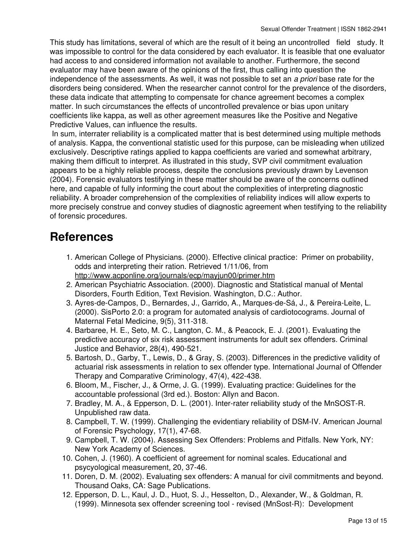This study has limitations, several of which are the result of it being an uncontrolled field study. It was impossible to control for the data considered by each evaluator. It is feasible that one evaluator had access to and considered information not available to another. Furthermore, the second evaluator may have been aware of the opinions of the first, thus calling into question the independence of the assessments. As well, it was not possible to set an *a priori* base rate for the disorders being considered. When the researcher cannot control for the prevalence of the disorders, these data indicate that attempting to compensate for chance agreement becomes a complex matter. In such circumstances the effects of uncontrolled prevalence or bias upon unitary coefficients like kappa, as well as other agreement measures like the Positive and Negative Predictive Values, can influence the results.

 In sum, interrater reliability is a complicated matter that is best determined using multiple methods of analysis. Kappa, the conventional statistic used for this purpose, can be misleading when utilized exclusively. Descriptive ratings applied to kappa coefficients are varied and somewhat arbitrary, making them difficult to interpret. As illustrated in this study, SVP civil commitment evaluation appears to be a highly reliable process, despite the conclusions previously drawn by Levenson (2004). Forensic evaluators testifying in these matter should be aware of the concerns outlined here, and capable of fully informing the court about the complexities of interpreting diagnostic reliability. A broader comprehension of the complexities of reliability indices will allow experts to more precisely construe and convey studies of diagnostic agreement when testifying to the reliability of forensic procedures.

### **References**

- 1. American College of Physicians. (2000). Effective clinical practice: Primer on probability, odds and interpreting their ration. Retrieved 1/11/06, from <http://www.acponline.org/journals/ecp/mayjun00/primer.htm>
- 2. American Psychiatric Association. (2000). Diagnostic and Statistical manual of Mental Disorders, Fourth Edition, Text Revision. Washington, D.C.: Author.
- 3. Ayres-de-Campos, D., Bernardes, J., Garrido, A., Marques-de-Sá, J., & Pereira-Leite, L. (2000). SisPorto 2.0: a program for automated analysis of cardiotocograms. Journal of Maternal Fetal Medicine, 9(5), 311-318.
- 4. Barbaree, H. E., Seto, M. C., Langton, C. M., & Peacock, E. J. (2001). Evaluating the predictive accuracy of six risk assessment instruments for adult sex offenders. Criminal Justice and Behavior, 28(4), 490-521.
- Bartosh, D., Garby, T., Lewis, D., & Gray, S. (2003). Differences in the predictive validity of 5. actuarial risk assessments in relation to sex offender type. International Journal of Offender Therapy and Comparative Criminology, 47(4), 422-438.
- 6. Bloom, M., Fischer, J., & Orme, J. G. (1999). Evaluating practice: Guidelines for the accountable professional (3rd ed.). Boston: Allyn and Bacon.
- 7. Bradley, M. A., & Epperson, D. L. (2001). Inter-rater reliability study of the MnSOST-R. Unpublished raw data.
- 8. Campbell, T. W. (1999). Challenging the evidentiary reliability of DSM-IV. American Journal of Forensic Psychology, 17(1), 47-68.
- 9. Campbell, T. W. (2004). Assessing Sex Offenders: Problems and Pitfalls. New York, NY: New York Academy of Sciences.
- 10. Cohen, J. (1960). A coefficient of agreement for nominal scales. Educational and psycyological measurement, 20, 37-46.
- 11. Doren, D. M. (2002). Evaluating sex offenders: A manual for civil commitments and beyond. Thousand Oaks, CA: Sage Publications.
- 12. Epperson, D. L., Kaul, J. D., Huot, S. J., Hesselton, D., Alexander, W., & Goldman, R. (1999). Minnesota sex offender screening tool - revised (MnSost-R): Development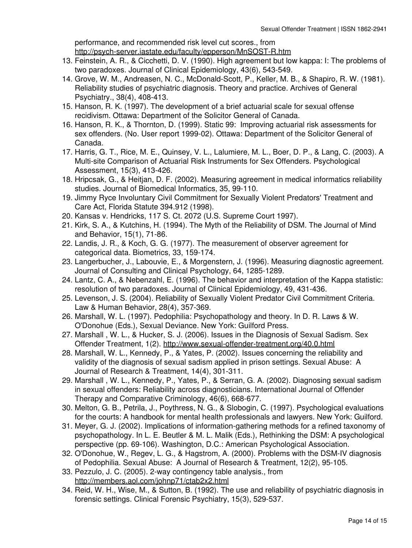performance, and recommended risk level cut scores., from <http://psych-server.iastate.edu/faculty/epperson/MnSOST-R.htm>

- 13. Feinstein, A. R., & Cicchetti, D. V. (1990). High agreement but low kappa: I: The problems of two paradoxes. Journal of Clinical Epidemiology, 43(6), 543-549.
- 14. Grove, W. M., Andreasen, N. C., McDonald-Scott, P., Keller, M. B., & Shapiro, R. W. (1981). Reliability studies of psychiatric diagnosis. Theory and practice. Archives of General Psychiatry., 38(4), 408-413.
- 15. Hanson, R. K. (1997). The development of a brief actuarial scale for sexual offense recidivism. Ottawa: Department of the Solicitor General of Canada.
- 16. Hanson, R. K., & Thornton, D. (1999). Static 99: Improving actuarial risk assessments for sex offenders. (No. User report 1999-02). Ottawa: Department of the Solicitor General of Canada.
- 17. Harris, G. T., Rice, M. E., Quinsey, V. L., Lalumiere, M. L., Boer, D. P., & Lang, C. (2003). A Multi-site Comparison of Actuarial Risk Instruments for Sex Offenders. Psychological Assessment, 15(3), 413-426.
- 18. Hripcsak, G., & Heitjan, D. F. (2002). Measuring agreement in medical informatics reliability studies. Journal of Biomedical Informatics, 35, 99-110.
- 19. Jimmy Ryce Involuntary Civil Commitment for Sexually Violent Predators' Treatment and Care Act, Florida Statute 394.912 (1998).
- 20. Kansas v. Hendricks, 117 S. Ct. 2072 (U.S. Supreme Court 1997).
- 21. Kirk, S. A., & Kutchins, H. (1994). The Myth of the Reliability of DSM. The Journal of Mind and Behavior, 15(1), 71-86.
- 22. Landis, J. R., & Koch, G. G. (1977). The measurement of observer agreement for categorical data. Biometrics, 33, 159-174.
- 23. Langerbucher, J., Labouvie, E., & Morgenstern, J. (1996). Measuring diagnostic agreement. Journal of Consulting and Clinical Psychology, 64, 1285-1289.
- 24. Lantz, C. A., & Nebenzahl, E. (1996). The behavior and interpretation of the Kappa statistic: resolution of two paradoxes. Journal of Clinical Epidemiology, 49, 431-436.
- 25. Levenson, J. S. (2004). Reliability of Sexually Violent Predator Civil Commitment Criteria. Law & Human Behavior, 28(4), 357-369.
- 26. Marshall, W. L. (1997). Pedophilia: Psychopathology and theory. In D. R. Laws & W. O'Donohue (Eds.), Sexual Deviance. New York: Guilford Press.
- Marshall , W. L., & Hucker, S. J. (2006). Issues in the Diagnosis of Sexual Sadism. Sex 27. Offender Treatment, 1(2). <http://www.sexual-offender-treatment.org/40.0.html>
- 28. Marshall, W. L., Kennedy, P., & Yates, P. (2002). Issues concerning the reliability and validity of the diagnosis of sexual sadism applied in prison settings. Sexual Abuse: A Journal of Research & Treatment, 14(4), 301-311.
- 29. Marshall , W. L., Kennedy, P., Yates, P., & Serran, G. A. (2002). Diagnosing sexual sadism in sexual offenders: Reliability across diagnosticians. International Journal of Offender Therapy and Comparative Criminology, 46(6), 668-677.
- 30. Melton, G. B., Petrila, J., Poythress, N. G., & Slobogin, C. (1997). Psychological evaluations for the courts: A handbook for mental health professionals and lawyers. New York: Guilford.
- 31. Meyer, G. J. (2002). Implications of information-gathering methods for a refined taxonomy of psychopathology. In L. E. Beutler & M. L. Malik (Eds.), Rethinking the DSM: A psychological perspective (pp. 69-106). Washington, D.C.: American Psychological Association.
- 32. O'Donohue, W., Regev, L. G., & Hagstrom, A. (2000). Problems with the DSM-IV diagnosis of Pedophilia. Sexual Abuse: A Journal of Research & Treatment, 12(2), 95-105.
- 33. Pezzulo, J. C. (2005). 2-way contingency table analysis., from <http://members.aol.com/johnp71/ctab2x2.html>
- 34. Reid, W. H., Wise, M., & Sutton, B. (1992). The use and reliability of psychiatric diagnosis in forensic settings. Clinical Forensic Psychiatry, 15(3), 529-537.